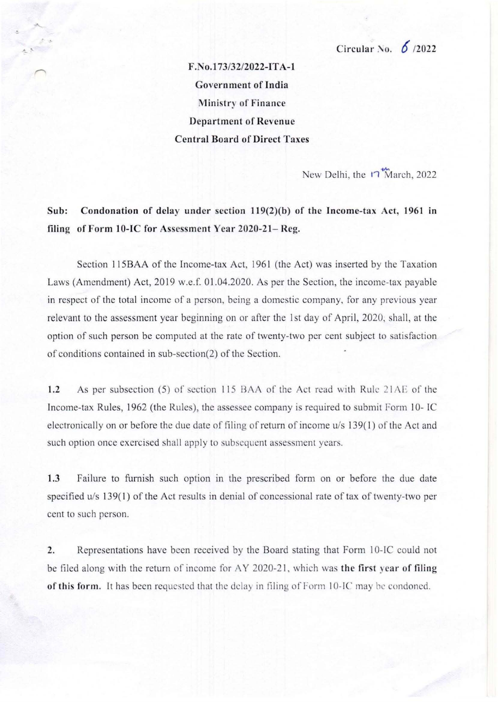*F.No.173/32/2022-lTA-J*  Government of India Ministry or Finance Department of Revenue Central Board or Direct Taxes

New Delhi, the  $\overline{n}$  March, 2022

Sub: Condonation of delay under section 119(2)(b) of the Income-tax Act, 1961 in filing of Form 10-IC for Assessment Year 2020-21- Reg.

Section 115BAA of the Income-tax Act, 1961 (the Act) was inserted by the Taxation Laws (Amendment) Act, 2019 w.e.f. 01.04.2020. As per the Section, the income-tax payable in respect of the total income of a person, being a domestic company, for any previous year relevant to the assessment year beginning on or after the 1st day of April, 2020, shall, at the option of such person be computed at the rate of twenty-two per cent subject to satisfaction of conditions contained in sub-section(2) of the Section.

1.2 As per subsection (5) of section 115 BAA of the Act read with Rule 21AE of the Income-tax Rules, 1962 (the Rules), the assessee company is required to submit Form 10- IC electronically on or before the due date of filing of return of income  $u/s$  139(1) of the Act and such option once exercised shall apply to subscquent assessment years.

1.3 Failure to furnish such option in the prescribed form on or before the due date specified *u*/s 139(1) of the Act results in denial of concessional rate of tax of twenty-two per cent to such person.

2. Representations have been received by the Board stating that Form 10-IC could not be filed along with the return of income for AY 2020-21, which was the first year of filing of this form. It has been requested that the delay in filing of Form 10-IC may be condoned.